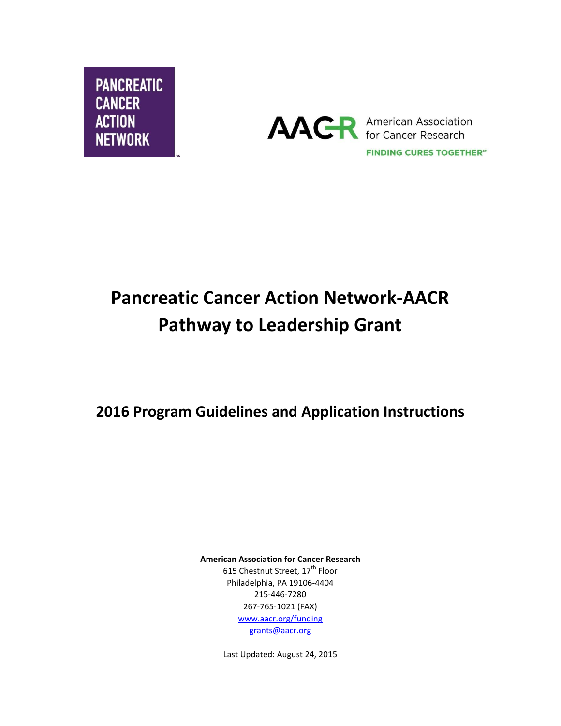



# **Pancreatic Cancer Action Network-AACR Pathway to Leadership Grant**

**2016 Program Guidelines and Application Instructions**

**American Association for Cancer Research** 615 Chestnut Street, 17<sup>th</sup> Floor Philadelphia, PA 19106-4404 215-446-7280 267-765-1021 (FAX) [www.aacr.org/funding](http://www.aacr.org/funding) [grants@aacr.org](mailto:grants@aacr.org)

Last Updated: August 24, 2015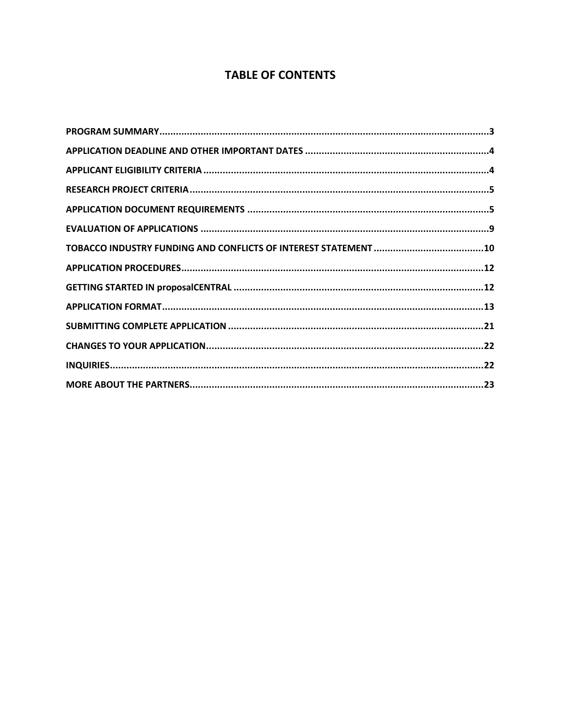# **TABLE OF CONTENTS**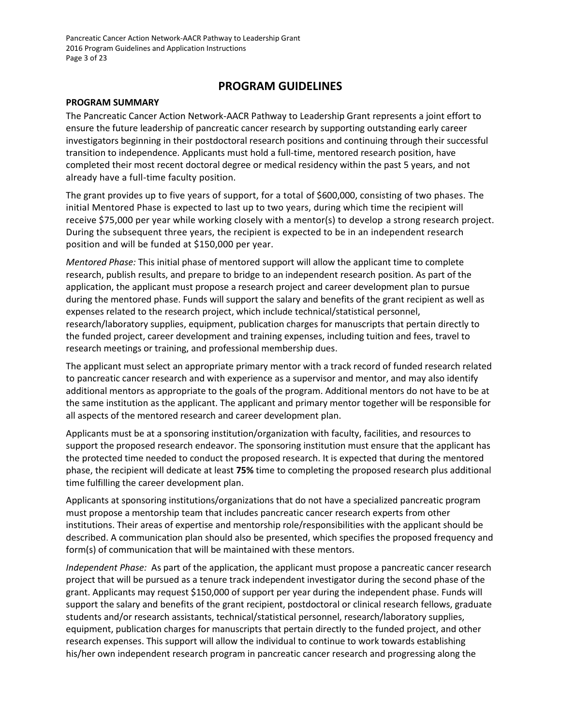Pancreatic Cancer Action Network-AACR Pathway to Leadership Grant 2016 Program Guidelines and Application Instructions Page 3 of 23

## **PROGRAM GUIDELINES**

#### <span id="page-2-0"></span>**PROGRAM SUMMARY**

The Pancreatic Cancer Action Network-AACR Pathway to Leadership Grant represents a joint effort to ensure the future leadership of pancreatic cancer research by supporting outstanding early career investigators beginning in their postdoctoral research positions and continuing through their successful transition to independence. Applicants must hold a full-time, mentored research position, have completed their most recent doctoral degree or medical residency within the past 5 years, and not already have a full-time faculty position.

The grant provides up to five years of support, for a total of \$600,000, consisting of two phases. The initial Mentored Phase is expected to last up to two years, during which time the recipient will receive \$75,000 per year while working closely with a mentor(s) to develop a strong research project. During the subsequent three years, the recipient is expected to be in an independent research position and will be funded at \$150,000 per year.

*Mentored Phase:* This initial phase of mentored support will allow the applicant time to complete research, publish results, and prepare to bridge to an independent research position. As part of the application, the applicant must propose a research project and career development plan to pursue during the mentored phase. Funds will support the salary and benefits of the grant recipient as well as expenses related to the research project, which include technical/statistical personnel, research/laboratory supplies, equipment, publication charges for manuscripts that pertain directly to the funded project, career development and training expenses, including tuition and fees, travel to research meetings or training, and professional membership dues.

The applicant must select an appropriate primary mentor with a track record of funded research related to pancreatic cancer research and with experience as a supervisor and mentor, and may also identify additional mentors as appropriate to the goals of the program. Additional mentors do not have to be at the same institution as the applicant. The applicant and primary mentor together will be responsible for all aspects of the mentored research and career development plan.

Applicants must be at a sponsoring institution/organization with faculty, facilities, and resources to support the proposed research endeavor. The sponsoring institution must ensure that the applicant has the protected time needed to conduct the proposed research. It is expected that during the mentored phase, the recipient will dedicate at least **75%** time to completing the proposed research plus additional time fulfilling the career development plan.

Applicants at sponsoring institutions/organizations that do not have a specialized pancreatic program must propose a mentorship team that includes pancreatic cancer research experts from other institutions. Their areas of expertise and mentorship role/responsibilities with the applicant should be described. A communication plan should also be presented, which specifies the proposed frequency and form(s) of communication that will be maintained with these mentors.

*Independent Phase:* As part of the application, the applicant must propose a pancreatic cancer research project that will be pursued as a tenure track independent investigator during the second phase of the grant. Applicants may request \$150,000 of support per year during the independent phase. Funds will support the salary and benefits of the grant recipient, postdoctoral or clinical research fellows, graduate students and/or research assistants, technical/statistical personnel, research/laboratory supplies, equipment, publication charges for manuscripts that pertain directly to the funded project, and other research expenses. This support will allow the individual to continue to work towards establishing his/her own independent research program in pancreatic cancer research and progressing along the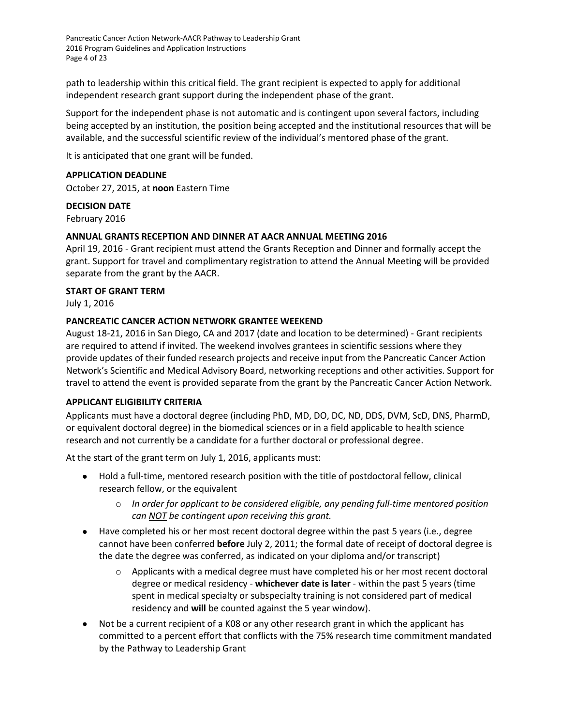Pancreatic Cancer Action Network-AACR Pathway to Leadership Grant 2016 Program Guidelines and Application Instructions Page 4 of 23

path to leadership within this critical field. The grant recipient is expected to apply for additional independent research grant support during the independent phase of the grant.

Support for the independent phase is not automatic and is contingent upon several factors, including being accepted by an institution, the position being accepted and the institutional resources that will be available, and the successful scientific review of the individual's mentored phase of the grant.

It is anticipated that one grant will be funded.

#### <span id="page-3-0"></span>**APPLICATION DEADLINE**

October 27, 2015, at **noon** Eastern Time

#### **DECISION DATE**

February 2016

#### **ANNUAL GRANTS RECEPTION AND DINNER AT AACR ANNUAL MEETING 2016**

April 19, 2016 - Grant recipient must attend the Grants Reception and Dinner and formally accept the grant. Support for travel and complimentary registration to attend the Annual Meeting will be provided separate from the grant by the AACR.

#### **START OF GRANT TERM**

July 1, 2016

#### **PANCREATIC CANCER ACTION NETWORK GRANTEE WEEKEND**

August 18-21, 2016 in San Diego, CA and 2017 (date and location to be determined) - Grant recipients are required to attend if invited. The weekend involves grantees in scientific sessions where they provide updates of their funded research projects and receive input from the Pancreatic Cancer Action Network's Scientific and Medical Advisory Board, networking receptions and other activities. Support for travel to attend the event is provided separate from the grant by the Pancreatic Cancer Action Network.

#### <span id="page-3-1"></span>**APPLICANT ELIGIBILITY CRITERIA**

Applicants must have a doctoral degree (including PhD, MD, DO, DC, ND, DDS, DVM, ScD, DNS, PharmD, or equivalent doctoral degree) in the biomedical sciences or in a field applicable to health science research and not currently be a candidate for a further doctoral or professional degree.

At the start of the grant term on July 1, 2016, applicants must:

- Hold a full-time, mentored research position with the title of postdoctoral fellow, clinical research fellow, or the equivalent
	- o *In order for applicant to be considered eligible, any pending full-time mentored position can NOT be contingent upon receiving this grant.*
- Have completed his or her most recent doctoral degree within the past 5 years (i.e., degree cannot have been conferred **before** July 2, 2011; the formal date of receipt of doctoral degree is the date the degree was conferred, as indicated on your diploma and/or transcript)
	- $\circ$  Applicants with a medical degree must have completed his or her most recent doctoral degree or medical residency - **whichever date is later** - within the past 5 years (time spent in medical specialty or subspecialty training is not considered part of medical residency and **will** be counted against the 5 year window).
- Not be a current recipient of a K08 or any other research grant in which the applicant has committed to a percent effort that conflicts with the 75% research time commitment mandated by the Pathway to Leadership Grant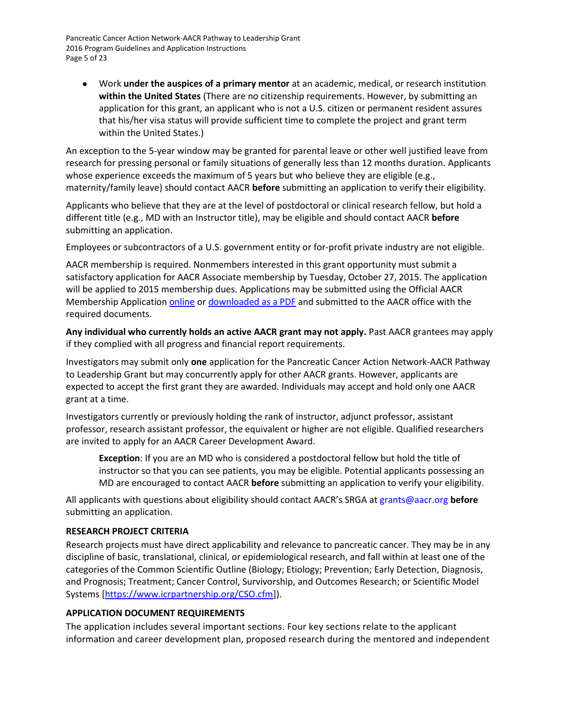Pancreatic Cancer Action Network-AACR Pathway to Leadership Grant 2016 Program Guidelines and Application Instructions Page 5 of 23

 Work **under the auspices of a primary mentor** at an academic, medical, or research institution **within the United States** (There are no citizenship requirements. However, by submitting an application for this grant, an applicant who is not a U.S. citizen or permanent resident assures that his/her visa status will provide sufficient time to complete the project and grant term within the United States.)

An exception to the 5-year window may be granted for parental leave or other well justified leave from research for pressing personal or family situations of generally less than 12 months duration. Applicants whose experience exceeds the maximum of 5 years but who believe they are eligible (e.g., maternity/family leave) should contact AACR **before** submitting an application to verify their eligibility.

Applicants who believe that they are at the level of postdoctoral or clinical research fellow, but hold a different title (e.g., MD with an Instructor title), may be eligible and should contact AACR **before** submitting an application.

Employees or subcontractors of a U.S. government entity or for-profit private industry are not eligible.

AACR membership is required. Nonmembers interested in this grant opportunity must submit a satisfactory application for AACR Associate membership by Tuesday, October 27, 2015. The application will be applied to 2015 membership dues. Applications may be submitted using the Official AACR Membership Application [online](http://myaacr.aacr.org/Core/AccountManagement/BecomeMember.aspx) or [downloaded as a PDF](http://www.aacr.org/Membership/Shared%20Documents/1505054_15_Member_app.pdf) and submitted to the AACR office with the required documents.

**Any individual who currently holds an active AACR grant may not apply.** Past AACR grantees may apply if they complied with all progress and financial report requirements.

Investigators may submit only **one** application for the Pancreatic Cancer Action Network-AACR Pathway to Leadership Grant but may concurrently apply for other AACR grants. However, applicants are expected to accept the first grant they are awarded. Individuals may accept and hold only one AACR grant at a time.

Investigators currently or previously holding the rank of instructor, adjunct professor, assistant professor, research assistant professor, the equivalent or higher are not eligible. Qualified researchers are invited to apply for an AACR Career Development Award.

**Exception**: If you are an MD who is considered a postdoctoral fellow but hold the title of instructor so that you can see patients, you may be eligible. Potential applicants possessing an MD are encouraged to contact AACR **before** submitting an application to verify your eligibility.

All applicants with questions about eligibility should contact AACR's SRGA a[t grants@aacr.org](mailto:grants@aacr.org) **before** submitting an application.

#### <span id="page-4-0"></span>**RESEARCH PROJECT CRITERIA**

Research projects must have direct applicability and relevance to pancreatic cancer. They may be in any discipline of basic, translational, clinical, or epidemiological research, and fall within at least one of the categories of the Common Scientific Outline (Biology; Etiology; Prevention; Early Detection, Diagnosis, and Prognosis; Treatment; Cancer Control, Survivorship, and Outcomes Research; or Scientific Model Systems [\[https://www.icrpartnership.org/CSO.cfm\]](https://www.icrpartnership.org/CSO.cfm)).

#### <span id="page-4-1"></span>**APPLICATION DOCUMENT REQUIREMENTS**

The application includes several important sections. Four key sections relate to the applicant information and career development plan, proposed research during the mentored and independent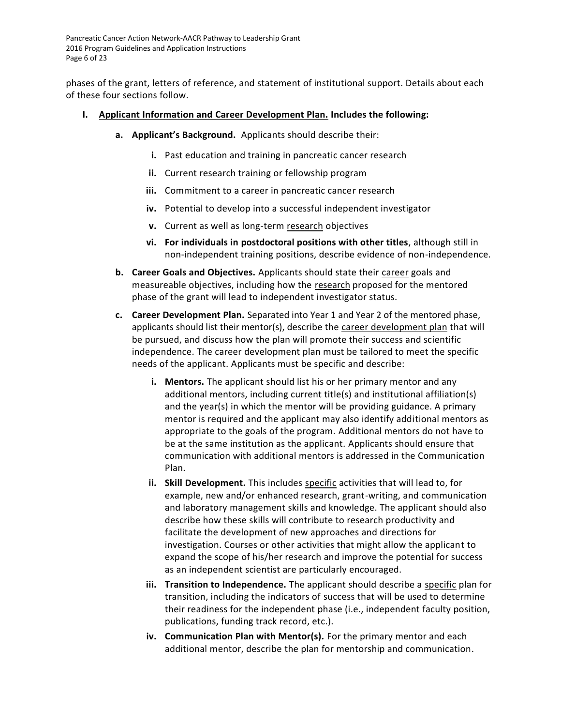Pancreatic Cancer Action Network-AACR Pathway to Leadership Grant 2016 Program Guidelines and Application Instructions Page 6 of 23

phases of the grant, letters of reference, and statement of institutional support. Details about each of these four sections follow.

- **I. Applicant Information and Career Development Plan. Includes the following:**
	- **a. Applicant's Background.** Applicants should describe their:
		- **i.** Past education and training in pancreatic cancer research
		- **ii.** Current research training or fellowship program
		- **iii.** Commitment to a career in pancreatic cancer research
		- **iv.** Potential to develop into a successful independent investigator
		- **v.** Current as well as long-term research objectives
		- **vi. For individuals in postdoctoral positions with other titles**, although still in non-independent training positions, describe evidence of non-independence.
	- **b. Career Goals and Objectives.** Applicants should state their career goals and measureable objectives, including how the research proposed for the mentored phase of the grant will lead to independent investigator status.
	- **c. Career Development Plan.** Separated into Year 1 and Year 2 of the mentored phase, applicants should list their mentor(s), describe the career development plan that will be pursued, and discuss how the plan will promote their success and scientific independence. The career development plan must be tailored to meet the specific needs of the applicant. Applicants must be specific and describe:
		- **i. Mentors.** The applicant should list his or her primary mentor and any additional mentors, including current title(s) and institutional affiliation(s) and the year(s) in which the mentor will be providing guidance. A primary mentor is required and the applicant may also identify additional mentors as appropriate to the goals of the program. Additional mentors do not have to be at the same institution as the applicant. Applicants should ensure that communication with additional mentors is addressed in the Communication Plan.
		- **ii. Skill Development.** This includes specific activities that will lead to, for example, new and/or enhanced research, grant-writing, and communication and laboratory management skills and knowledge. The applicant should also describe how these skills will contribute to research productivity and facilitate the development of new approaches and directions for investigation. Courses or other activities that might allow the applicant to expand the scope of his/her research and improve the potential for success as an independent scientist are particularly encouraged.
		- **iii. Transition to Independence.** The applicant should describe a specific plan for transition, including the indicators of success that will be used to determine their readiness for the independent phase (i.e., independent faculty position, publications, funding track record, etc.).
		- **iv. Communication Plan with Mentor(s).** For the primary mentor and each additional mentor, describe the plan for mentorship and communication.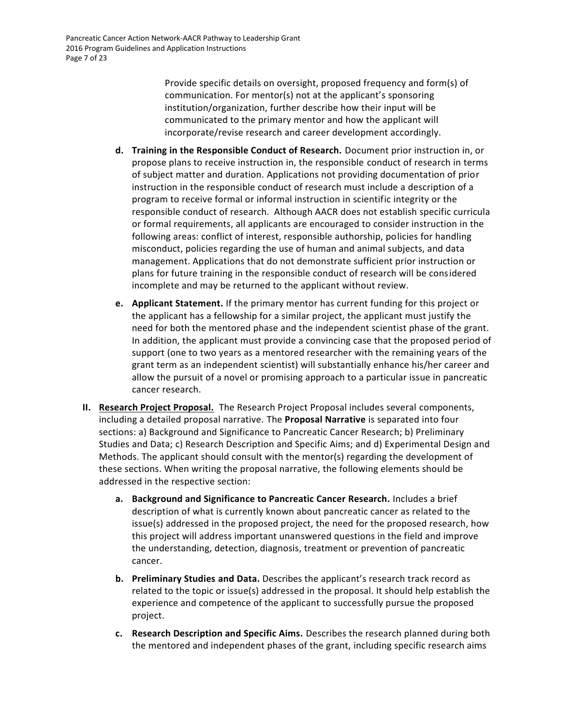Provide specific details on oversight, proposed frequency and form(s) of communication. For mentor(s) not at the applicant's sponsoring institution/organization, further describe how their input will be communicated to the primary mentor and how the applicant will incorporate/revise research and career development accordingly.

- **d. Training in the Responsible Conduct of Research.** Document prior instruction in, or propose plans to receive instruction in, the responsible conduct of research in terms of subject matter and duration. Applications not providing documentation of prior instruction in the responsible conduct of research must include a description of a program to receive formal or informal instruction in scientific integrity or the responsible conduct of research. Although AACR does not establish specific curricula or formal requirements, all applicants are encouraged to consider instruction in the following areas: conflict of interest, responsible authorship, policies for handling misconduct, policies regarding the use of human and animal subjects, and data management. Applications that do not demonstrate sufficient prior instruction or plans for future training in the responsible conduct of research will be considered incomplete and may be returned to the applicant without review.
- **e. Applicant Statement.** If the primary mentor has current funding for this project or the applicant has a fellowship for a similar project, the applicant must justify the need for both the mentored phase and the independent scientist phase of the grant. In addition, the applicant must provide a convincing case that the proposed period of support (one to two years as a mentored researcher with the remaining years of the grant term as an independent scientist) will substantially enhance his/her career and allow the pursuit of a novel or promising approach to a particular issue in pancreatic cancer research.
- **II. Research Project Proposal.** The Research Project Proposal includes several components, including a detailed proposal narrative. The **Proposal Narrative** is separated into four sections: a) Background and Significance to Pancreatic Cancer Research; b) Preliminary Studies and Data; c) Research Description and Specific Aims; and d) Experimental Design and Methods. The applicant should consult with the mentor(s) regarding the development of these sections. When writing the proposal narrative, the following elements should be addressed in the respective section:
	- **a. Background and Significance to Pancreatic Cancer Research.** Includes a brief description of what is currently known about pancreatic cancer as related to the issue(s) addressed in the proposed project, the need for the proposed research, how this project will address important unanswered questions in the field and improve the understanding, detection, diagnosis, treatment or prevention of pancreatic cancer.
	- **b. Preliminary Studies and Data.** Describes the applicant's research track record as related to the topic or issue(s) addressed in the proposal. It should help establish the experience and competence of the applicant to successfully pursue the proposed project.
	- **c. Research Description and Specific Aims.** Describes the research planned during both the mentored and independent phases of the grant, including specific research aims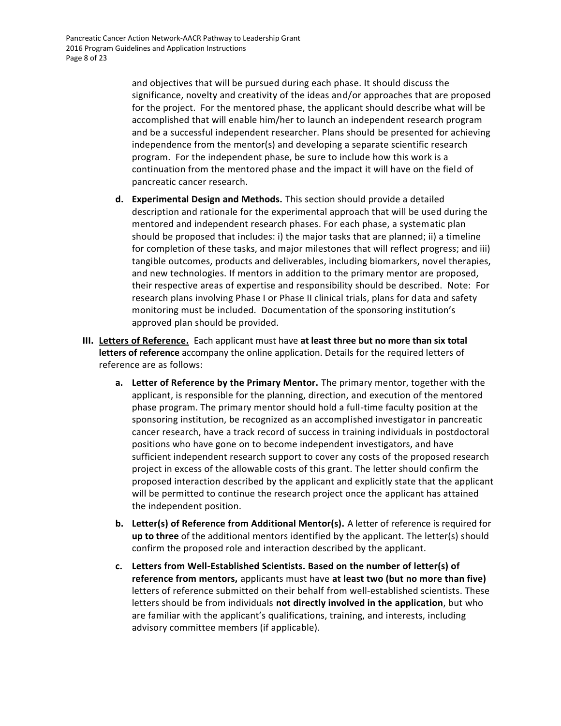and objectives that will be pursued during each phase. It should discuss the significance, novelty and creativity of the ideas and/or approaches that are proposed for the project. For the mentored phase, the applicant should describe what will be accomplished that will enable him/her to launch an independent research program and be a successful independent researcher. Plans should be presented for achieving independence from the mentor(s) and developing a separate scientific research program. For the independent phase, be sure to include how this work is a continuation from the mentored phase and the impact it will have on the field of pancreatic cancer research.

- **d. Experimental Design and Methods.** This section should provide a detailed description and rationale for the experimental approach that will be used during the mentored and independent research phases. For each phase, a systematic plan should be proposed that includes: i) the major tasks that are planned; ii) a timeline for completion of these tasks, and major milestones that will reflect progress; and iii) tangible outcomes, products and deliverables, including biomarkers, novel therapies, and new technologies. If mentors in addition to the primary mentor are proposed, their respective areas of expertise and responsibility should be described. Note: For research plans involving Phase I or Phase II clinical trials, plans for data and safety monitoring must be included. Documentation of the sponsoring institution's approved plan should be provided.
- **III. Letters of Reference.** Each applicant must have **at least three but no more than six total letters of reference** accompany the online application. Details for the required letters of reference are as follows:
	- **a. Letter of Reference by the Primary Mentor.** The primary mentor, together with the applicant, is responsible for the planning, direction, and execution of the mentored phase program. The primary mentor should hold a full-time faculty position at the sponsoring institution, be recognized as an accomplished investigator in pancreatic cancer research, have a track record of success in training individuals in postdoctoral positions who have gone on to become independent investigators, and have sufficient independent research support to cover any costs of the proposed research project in excess of the allowable costs of this grant. The letter should confirm the proposed interaction described by the applicant and explicitly state that the applicant will be permitted to continue the research project once the applicant has attained the independent position.
	- **b. Letter(s) of Reference from Additional Mentor(s).** A letter of reference is required for **up to three** of the additional mentors identified by the applicant. The letter(s) should confirm the proposed role and interaction described by the applicant.
	- **c. Letters from Well-Established Scientists. Based on the number of letter(s) of reference from mentors,** applicants must have **at least two (but no more than five)** letters of reference submitted on their behalf from well-established scientists. These letters should be from individuals **not directly involved in the application**, but who are familiar with the applicant's qualifications, training, and interests, including advisory committee members (if applicable).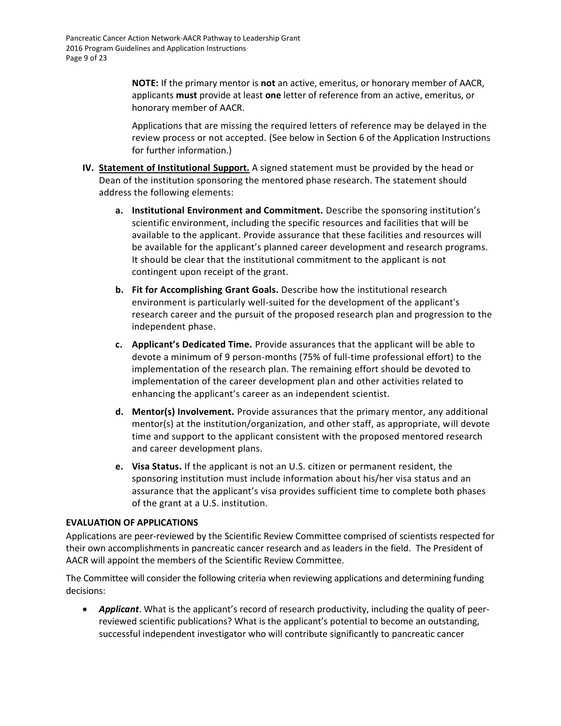**NOTE:** If the primary mentor is **not** an active, emeritus, or honorary member of AACR, applicants **must** provide at least **one** letter of reference from an active, emeritus, or honorary member of AACR.

Applications that are missing the required letters of reference may be delayed in the review process or not accepted. (See below in Section 6 of the Application Instructions for further information.)

- **IV. Statement of Institutional Support.** A signed statement must be provided by the head or Dean of the institution sponsoring the mentored phase research. The statement should address the following elements:
	- **a. Institutional Environment and Commitment.** Describe the sponsoring institution's scientific environment, including the specific resources and facilities that will be available to the applicant. Provide assurance that these facilities and resources will be available for the applicant's planned career development and research programs. It should be clear that the institutional commitment to the applicant is not contingent upon receipt of the grant.
	- **b. Fit for Accomplishing Grant Goals.** Describe how the institutional research environment is particularly well-suited for the development of the applicant's research career and the pursuit of the proposed research plan and progression to the independent phase.
	- **c. Applicant's Dedicated Time.** Provide assurances that the applicant will be able to devote a minimum of 9 person-months (75% of full-time professional effort) to the implementation of the research plan. The remaining effort should be devoted to implementation of the career development plan and other activities related to enhancing the applicant's career as an independent scientist.
	- **d. Mentor(s) Involvement.** Provide assurances that the primary mentor, any additional mentor(s) at the institution/organization, and other staff, as appropriate, will devote time and support to the applicant consistent with the proposed mentored research and career development plans.
	- **e. Visa Status.** If the applicant is not an U.S. citizen or permanent resident, the sponsoring institution must include information about his/her visa status and an assurance that the applicant's visa provides sufficient time to complete both phases of the grant at a U.S. institution.

#### <span id="page-8-0"></span>**EVALUATION OF APPLICATIONS**

Applications are peer-reviewed by the Scientific Review Committee comprised of scientists respected for their own accomplishments in pancreatic cancer research and as leaders in the field. The President of AACR will appoint the members of the Scientific Review Committee.

The Committee will consider the following criteria when reviewing applications and determining funding decisions:

 *Applicant*. What is the applicant's record of research productivity, including the quality of peerreviewed scientific publications? What is the applicant's potential to become an outstanding, successful independent investigator who will contribute significantly to pancreatic cancer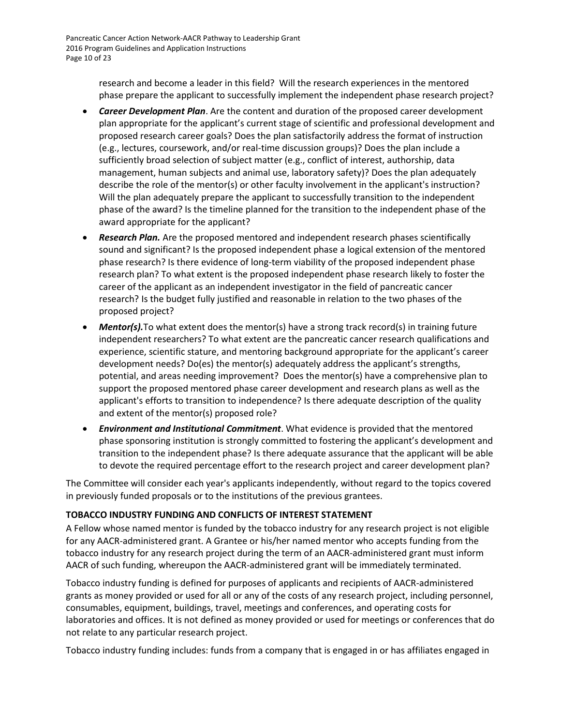research and become a leader in this field? Will the research experiences in the mentored phase prepare the applicant to successfully implement the independent phase research project?

- *Career Development Plan*. Are the content and duration of the proposed career development plan appropriate for the applicant's current stage of scientific and professional development and proposed research career goals? Does the plan satisfactorily address the format of instruction (e.g., lectures, coursework, and/or real-time discussion groups)? Does the plan include a sufficiently broad selection of subject matter (e.g., conflict of interest, authorship, data management, human subjects and animal use, laboratory safety)? Does the plan adequately describe the role of the mentor(s) or other faculty involvement in the applicant's instruction? Will the plan adequately prepare the applicant to successfully transition to the independent phase of the award? Is the timeline planned for the transition to the independent phase of the award appropriate for the applicant?
- *Research Plan.* Are the proposed mentored and independent research phases scientifically sound and significant? Is the proposed independent phase a logical extension of the mentored phase research? Is there evidence of long-term viability of the proposed independent phase research plan? To what extent is the proposed independent phase research likely to foster the career of the applicant as an independent investigator in the field of pancreatic cancer research? Is the budget fully justified and reasonable in relation to the two phases of the proposed project?
- *Mentor(s).* To what extent does the mentor(s) have a strong track record(s) in training future independent researchers? To what extent are the pancreatic cancer research qualifications and experience, scientific stature, and mentoring background appropriate for the applicant's career development needs? Do(es) the mentor(s) adequately address the applicant's strengths, potential, and areas needing improvement? Does the mentor(s) have a comprehensive plan to support the proposed mentored phase career development and research plans as well as the applicant's efforts to transition to independence? Is there adequate description of the quality and extent of the mentor(s) proposed role?
- *Environment and Institutional Commitment*. What evidence is provided that the mentored phase sponsoring institution is strongly committed to fostering the applicant's development and transition to the independent phase? Is there adequate assurance that the applicant will be able to devote the required percentage effort to the research project and career development plan?

The Committee will consider each year's applicants independently, without regard to the topics covered in previously funded proposals or to the institutions of the previous grantees.

## <span id="page-9-0"></span>**TOBACCO INDUSTRY FUNDING AND CONFLICTS OF INTEREST STATEMENT**

A Fellow whose named mentor is funded by the tobacco industry for any research project is not eligible for any AACR-administered grant. A Grantee or his/her named mentor who accepts funding from the tobacco industry for any research project during the term of an AACR-administered grant must inform AACR of such funding, whereupon the AACR-administered grant will be immediately terminated.

Tobacco industry funding is defined for purposes of applicants and recipients of AACR-administered grants as money provided or used for all or any of the costs of any research project, including personnel, consumables, equipment, buildings, travel, meetings and conferences, and operating costs for laboratories and offices. It is not defined as money provided or used for meetings or conferences that do not relate to any particular research project.

Tobacco industry funding includes: funds from a company that is engaged in or has affiliates engaged in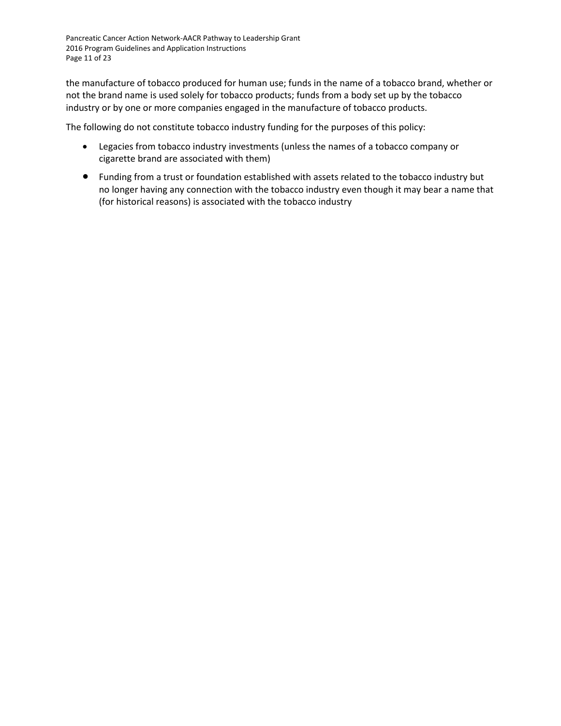Pancreatic Cancer Action Network-AACR Pathway to Leadership Grant 2016 Program Guidelines and Application Instructions Page 11 of 23

the manufacture of tobacco produced for human use; funds in the name of a tobacco brand, whether or not the brand name is used solely for tobacco products; funds from a body set up by the tobacco industry or by one or more companies engaged in the manufacture of tobacco products.

The following do not constitute tobacco industry funding for the purposes of this policy:

- Legacies from tobacco industry investments (unless the names of a tobacco company or cigarette brand are associated with them)
- Funding from a trust or foundation established with assets related to the tobacco industry but no longer having any connection with the tobacco industry even though it may bear a name that (for historical reasons) is associated with the tobacco industry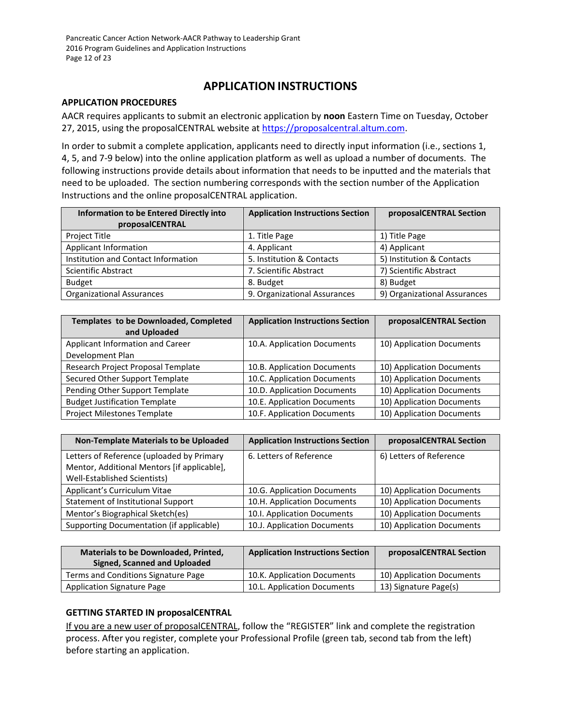# **APPLICATION INSTRUCTIONS**

#### <span id="page-11-0"></span>**APPLICATION PROCEDURES**

AACR requires applicants to submit an electronic application by **noon** Eastern Time on Tuesday, October 27, 2015, using the proposalCENTRAL website at [https://proposalcentral.altum.com.](https://proposalcentral.altum.com/)

In order to submit a complete application, applicants need to directly input information (i.e., sections 1, 4, 5, and 7-9 below) into the online application platform as well as upload a number of documents. The following instructions provide details about information that needs to be inputted and the materials that need to be uploaded. The section numbering corresponds with the section number of the Application Instructions and the online proposalCENTRAL application.

| <b>Information to be Entered Directly into</b><br>proposalCENTRAL | <b>Application Instructions Section</b> | proposalCENTRAL Section      |
|-------------------------------------------------------------------|-----------------------------------------|------------------------------|
| Project Title                                                     | 1. Title Page                           | 1) Title Page                |
| Applicant Information                                             | 4. Applicant                            | 4) Applicant                 |
| Institution and Contact Information                               | 5. Institution & Contacts               | 5) Institution & Contacts    |
| Scientific Abstract                                               | 7. Scientific Abstract                  | 7) Scientific Abstract       |
| <b>Budget</b>                                                     | 8. Budget                               | 8) Budget                    |
| <b>Organizational Assurances</b>                                  | 9. Organizational Assurances            | 9) Organizational Assurances |

| Templates to be Downloaded, Completed<br>and Uploaded | <b>Application Instructions Section</b> | proposalCENTRAL Section   |
|-------------------------------------------------------|-----------------------------------------|---------------------------|
| Applicant Information and Career                      | 10.A. Application Documents             | 10) Application Documents |
| Development Plan                                      |                                         |                           |
| Research Project Proposal Template                    | 10.B. Application Documents             | 10) Application Documents |
| Secured Other Support Template                        | 10.C. Application Documents             | 10) Application Documents |
| Pending Other Support Template                        | 10.D. Application Documents             | 10) Application Documents |
| <b>Budget Justification Template</b>                  | 10.E. Application Documents             | 10) Application Documents |
| Project Milestones Template                           | 10.F. Application Documents             | 10) Application Documents |

| <b>Non-Template Materials to be Uploaded</b>                                                                             | <b>Application Instructions Section</b> | proposalCENTRAL Section   |
|--------------------------------------------------------------------------------------------------------------------------|-----------------------------------------|---------------------------|
| Letters of Reference (uploaded by Primary<br>Mentor, Additional Mentors [if applicable],<br>Well-Established Scientists) | 6. Letters of Reference                 | 6) Letters of Reference   |
| Applicant's Curriculum Vitae                                                                                             | 10.G. Application Documents             | 10) Application Documents |
| Statement of Institutional Support                                                                                       | 10.H. Application Documents             | 10) Application Documents |
| Mentor's Biographical Sketch(es)                                                                                         | 10.I. Application Documents             | 10) Application Documents |
| Supporting Documentation (if applicable)                                                                                 | 10.J. Application Documents             | 10) Application Documents |

| <b>Materials to be Downloaded, Printed,</b><br><b>Signed, Scanned and Uploaded</b> | <b>Application Instructions Section</b> | proposalCENTRAL Section   |
|------------------------------------------------------------------------------------|-----------------------------------------|---------------------------|
| Terms and Conditions Signature Page                                                | 10.K. Application Documents             | 10) Application Documents |
| <b>Application Signature Page</b>                                                  | 10.L. Application Documents             | 13) Signature Page(s)     |

## <span id="page-11-1"></span>**GETTING STARTED IN proposalCENTRAL**

If you are a new user of proposalCENTRAL, follow the "REGISTER" link and complete the registration process. After you register, complete your Professional Profile (green tab, second tab from the left) before starting an application.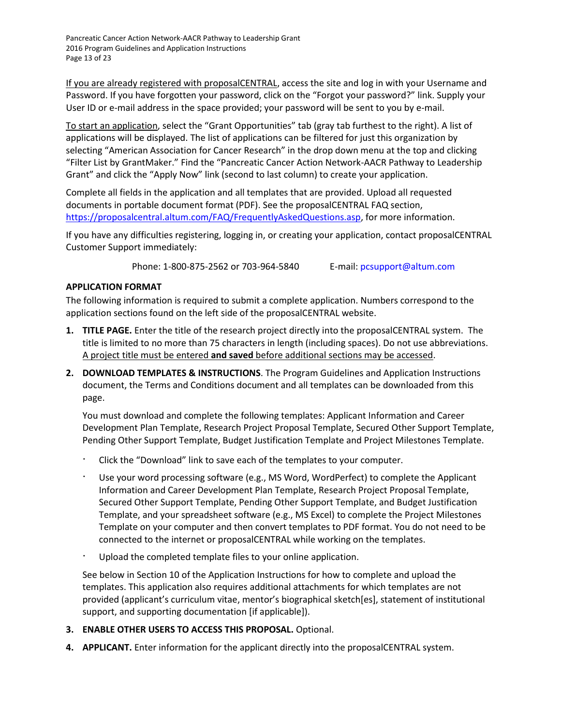Pancreatic Cancer Action Network-AACR Pathway to Leadership Grant 2016 Program Guidelines and Application Instructions Page 13 of 23

If you are already registered with proposalCENTRAL, access the site and log in with your Username and Password. If you have forgotten your password, click on the "Forgot your password?" link. Supply your User ID or e-mail address in the space provided; your password will be sent to you by e-mail.

To start an application, select the "Grant Opportunities" tab (gray tab furthest to the right). A list of applications will be displayed. The list of applications can be filtered for just this organization by selecting "American Association for Cancer Research" in the drop down menu at the top and clicking "Filter List by GrantMaker." Find the "Pancreatic Cancer Action Network-AACR Pathway to Leadership Grant" and click the "Apply Now" link (second to last column) to create your application.

Complete all fields in the application and all templates that are provided. Upload all requested documents in portable document format (PDF). See the proposalCENTRAL FAQ section, [https://proposalcentral.altum.com/FAQ/FrequentlyAskedQuestions.asp,](https://proposalcentral.altum.com/FAQ/FrequentlyAskedQuestions.asp) for more information.

If you have any difficulties registering, logging in, or creating your application, contact proposalCENTRAL Customer Support immediately:

Phone: 1-800-875-2562 or 703-964-5840 E-mail: [pcsupport@altum.com](mailto:pcsupport@altum.com)

## <span id="page-12-0"></span>**APPLICATION FORMAT**

The following information is required to submit a complete application. Numbers correspond to the application sections found on the left side of the proposalCENTRAL website.

- **1. TITLE PAGE.** Enter the title of the research project directly into the proposalCENTRAL system. The title is limited to no more than 75 characters in length (including spaces). Do not use abbreviations. A project title must be entered **and saved** before additional sections may be accessed.
- **2. DOWNLOAD TEMPLATES & INSTRUCTIONS**. The Program Guidelines and Application Instructions document, the Terms and Conditions document and all templates can be downloaded from this page.

You must download and complete the following templates: Applicant Information and Career Development Plan Template, Research Project Proposal Template, Secured Other Support Template, Pending Other Support Template, Budget Justification Template and Project Milestones Template.

- ∙ Click the "Download" link to save each of the templates to your computer.
- ∙ Use your word processing software (e.g., MS Word, WordPerfect) to complete the Applicant Information and Career Development Plan Template, Research Project Proposal Template, Secured Other Support Template, Pending Other Support Template, and Budget Justification Template, and your spreadsheet software (e.g., MS Excel) to complete the Project Milestones Template on your computer and then convert templates to PDF format. You do not need to be connected to the internet or proposalCENTRAL while working on the templates.
- ∙ Upload the completed template files to your online application.

See below in Section 10 of the Application Instructions for how to complete and upload the templates. This application also requires additional attachments for which templates are not provided (applicant's curriculum vitae, mentor's biographical sketch[es], statement of institutional support, and supporting documentation [if applicable]).

- **3. ENABLE OTHER USERS TO ACCESS THIS PROPOSAL.** Optional.
- **4. APPLICANT.** Enter information for the applicant directly into the proposalCENTRAL system.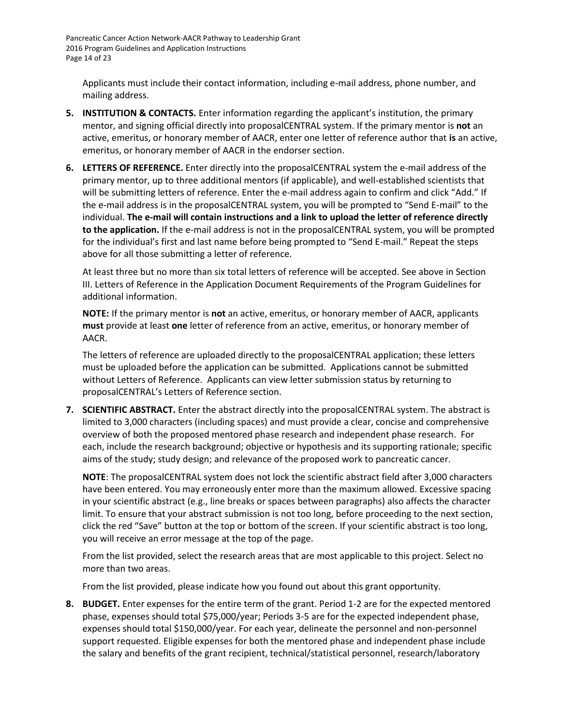Pancreatic Cancer Action Network-AACR Pathway to Leadership Grant 2016 Program Guidelines and Application Instructions Page 14 of 23

Applicants must include their contact information, including e-mail address, phone number, and mailing address.

- **5. INSTITUTION & CONTACTS.** Enter information regarding the applicant's institution, the primary mentor, and signing official directly into proposalCENTRAL system. If the primary mentor is **not** an active, emeritus, or honorary member of AACR, enter one letter of reference author that **is** an active, emeritus, or honorary member of AACR in the endorser section.
- **6. LETTERS OF REFERENCE.** Enter directly into the proposalCENTRAL system the e-mail address of the primary mentor, up to three additional mentors (if applicable), and well-established scientists that will be submitting letters of reference. Enter the e-mail address again to confirm and click "Add." If the e-mail address is in the proposalCENTRAL system, you will be prompted to "Send E-mail" to the individual. **The e-mail will contain instructions and a link to upload the letter of reference directly to the application.** If the e-mail address is not in the proposalCENTRAL system, you will be prompted for the individual's first and last name before being prompted to "Send E-mail." Repeat the steps above for all those submitting a letter of reference.

At least three but no more than six total letters of reference will be accepted. See above in Section III. Letters of Reference in the Application Document Requirements of the Program Guidelines for additional information.

**NOTE:** If the primary mentor is **not** an active, emeritus, or honorary member of AACR, applicants **must** provide at least **one** letter of reference from an active, emeritus, or honorary member of AACR.

The letters of reference are uploaded directly to the proposalCENTRAL application; these letters must be uploaded before the application can be submitted. Applications cannot be submitted without Letters of Reference. Applicants can view letter submission status by returning to proposalCENTRAL's Letters of Reference section.

**7. SCIENTIFIC ABSTRACT.** Enter the abstract directly into the proposalCENTRAL system. The abstract is limited to 3,000 characters (including spaces) and must provide a clear, concise and comprehensive overview of both the proposed mentored phase research and independent phase research. For each, include the research background; objective or hypothesis and its supporting rationale; specific aims of the study; study design; and relevance of the proposed work to pancreatic cancer.

**NOTE**: The proposalCENTRAL system does not lock the scientific abstract field after 3,000 characters have been entered. You may erroneously enter more than the maximum allowed. Excessive spacing in your scientific abstract (e.g., line breaks or spaces between paragraphs) also affects the character limit. To ensure that your abstract submission is not too long, before proceeding to the next section, click the red "Save" button at the top or bottom of the screen. If your scientific abstract is too long, you will receive an error message at the top of the page.

From the list provided, select the research areas that are most applicable to this project. Select no more than two areas.

From the list provided, please indicate how you found out about this grant opportunity.

**8. BUDGET.** Enter expenses for the entire term of the grant. Period 1-2 are for the expected mentored phase, expenses should total \$75,000/year; Periods 3-5 are for the expected independent phase, expenses should total \$150,000/year. For each year, delineate the personnel and non-personnel support requested. Eligible expenses for both the mentored phase and independent phase include the salary and benefits of the grant recipient, technical/statistical personnel, research/laboratory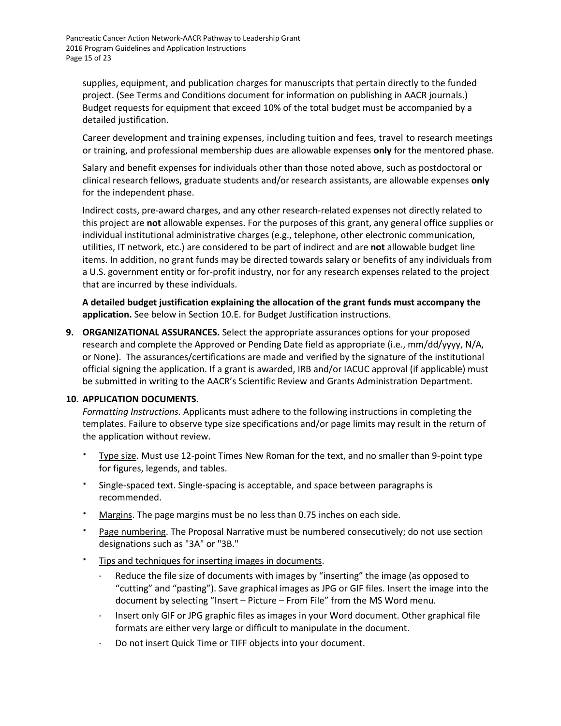supplies, equipment, and publication charges for manuscripts that pertain directly to the funded project. (See Terms and Conditions document for information on publishing in AACR journals.) Budget requests for equipment that exceed 10% of the total budget must be accompanied by a detailed justification.

Career development and training expenses, including tuition and fees, travel to research meetings or training, and professional membership dues are allowable expenses **only** for the mentored phase.

Salary and benefit expenses for individuals other than those noted above, such as postdoctoral or clinical research fellows, graduate students and/or research assistants, are allowable expenses **only**  for the independent phase.

Indirect costs, pre-award charges, and any other research-related expenses not directly related to this project are **not** allowable expenses. For the purposes of this grant, any general office supplies or individual institutional administrative charges (e.g., telephone, other electronic communication, utilities, IT network, etc.) are considered to be part of indirect and are **not** allowable budget line items. In addition, no grant funds may be directed towards salary or benefits of any individuals from a U.S. government entity or for-profit industry, nor for any research expenses related to the project that are incurred by these individuals.

**A detailed budget justification explaining the allocation of the grant funds must accompany the application.** See below in Section 10.E. for Budget Justification instructions.

**9. ORGANIZATIONAL ASSURANCES.** Select the appropriate assurances options for your proposed research and complete the Approved or Pending Date field as appropriate (i.e., mm/dd/yyyy, N/A, or None). The assurances/certifications are made and verified by the signature of the institutional official signing the application. If a grant is awarded, IRB and/or IACUC approval (if applicable) must be submitted in writing to the AACR's Scientific Review and Grants Administration Department.

#### **10. APPLICATION DOCUMENTS.**

*Formatting Instructions.* Applicants must adhere to the following instructions in completing the templates. Failure to observe type size specifications and/or page limits may result in the return of the application without review.

- Type size. Must use 12-point Times New Roman for the text, and no smaller than 9-point type for figures, legends, and tables.
- Single-spaced text. Single-spacing is acceptable, and space between paragraphs is recommended.
- Margins. The page margins must be no less than 0.75 inches on each side.
- Page numbering. The Proposal Narrative must be numbered consecutively; do not use section designations such as "3A" or "3B."
- Tips and techniques for inserting images in documents.
	- Reduce the file size of documents with images by "inserting" the image (as opposed to "cutting" and "pasting"). Save graphical images as JPG or GIF files. Insert the image into the document by selecting "Insert – Picture – From File" from the MS Word menu.
	- Insert only GIF or JPG graphic files as images in your Word document. Other graphical file formats are either very large or difficult to manipulate in the document.
	- Do not insert Quick Time or TIFF objects into your document.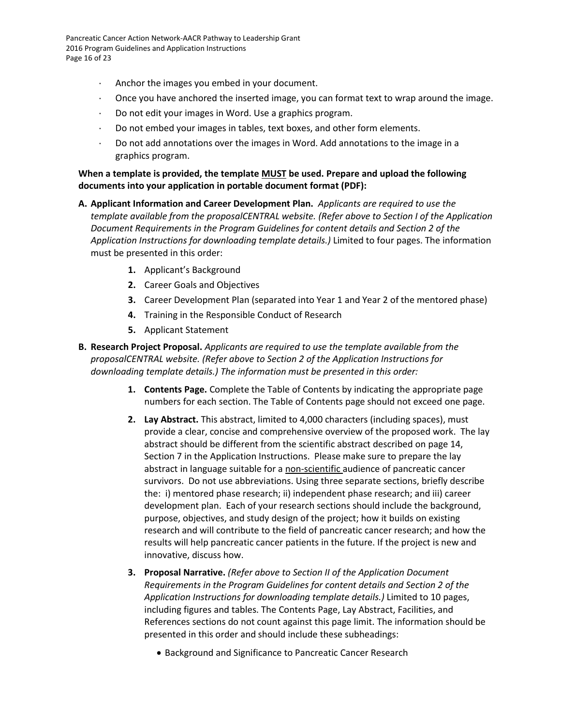Pancreatic Cancer Action Network-AACR Pathway to Leadership Grant 2016 Program Guidelines and Application Instructions Page 16 of 23

- Anchor the images you embed in your document.
- $\cdot$  Once you have anchored the inserted image, you can format text to wrap around the image.
- Do not edit your images in Word. Use a graphics program.
- Do not embed your images in tables, text boxes, and other form elements.
- Do not add annotations over the images in Word. Add annotations to the image in a graphics program.

#### **When a template is provided, the template MUST be used. Prepare and upload the following documents into your application in portable document format (PDF):**

- **A. Applicant Information and Career Development Plan.** *Applicants are required to use the template available from the proposalCENTRAL website. (Refer above to Section I of the Application Document Requirements in the Program Guidelines for content details and Section 2 of the Application Instructions for downloading template details.)* Limited to four pages. The information must be presented in this order:
	- **1.** Applicant's Background
	- **2.** Career Goals and Objectives
	- **3.** Career Development Plan (separated into Year 1 and Year 2 of the mentored phase)
	- **4.** Training in the Responsible Conduct of Research
	- **5.** Applicant Statement
- **B. Research Project Proposal.** *Applicants are required to use the template available from the proposalCENTRAL website. (Refer above to Section 2 of the Application Instructions for downloading template details.) The information must be presented in this order:*
	- **1. Contents Page.** Complete the Table of Contents by indicating the appropriate page numbers for each section. The Table of Contents page should not exceed one page.
	- **2. Lay Abstract.** This abstract, limited to 4,000 characters (including spaces), must provide a clear, concise and comprehensive overview of the proposed work. The lay abstract should be different from the scientific abstract described on page 14, Section 7 in the Application Instructions. Please make sure to prepare the lay abstract in language suitable for a non-scientific audience of pancreatic cancer survivors. Do not use abbreviations. Using three separate sections, briefly describe the: i) mentored phase research; ii) independent phase research; and iii) career development plan. Each of your research sections should include the background, purpose, objectives, and study design of the project; how it builds on existing research and will contribute to the field of pancreatic cancer research; and how the results will help pancreatic cancer patients in the future. If the project is new and innovative, discuss how.
	- **3. Proposal Narrative.** *(Refer above to Section II of the Application Document Requirements in the Program Guidelines for content details and Section 2 of the Application Instructions for downloading template details.)* Limited to 10 pages, including figures and tables. The Contents Page, Lay Abstract, Facilities, and References sections do not count against this page limit. The information should be presented in this order and should include these subheadings:
		- Background and Significance to Pancreatic Cancer Research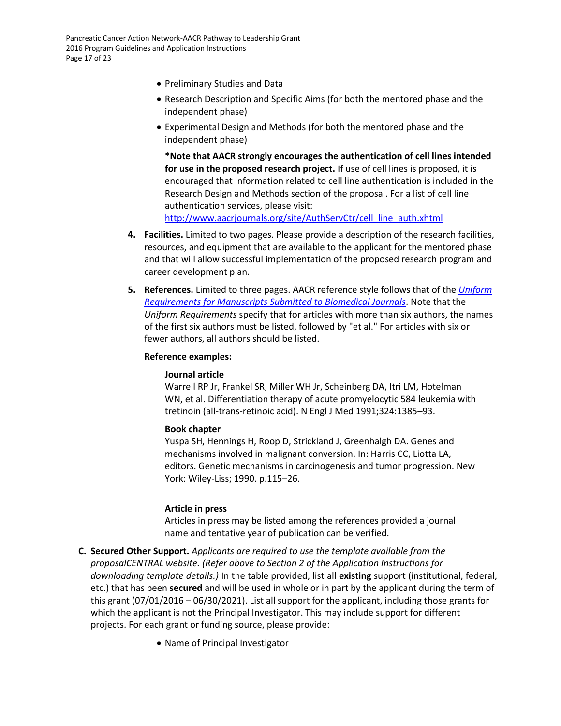- Preliminary Studies and Data
- Research Description and Specific Aims (for both the mentored phase and the independent phase)
- Experimental Design and Methods (for both the mentored phase and the independent phase)

**\*Note that AACR strongly encourages the authentication of cell lines intended for use in the proposed research project.** If use of cell lines is proposed, it is encouraged that information related to cell line authentication is included in the Research Design and Methods section of the proposal. For a list of cell line authentication services, please visit: [http://www.aacrjournals.org/site/AuthServCtr/cell\\_line\\_auth.xhtml](http://www.aacrjournals.org/site/AuthServCtr/cell_line_auth.xhtml)

**4. Facilities.** Limited to two pages. Please provide a description of the research facilities, resources, and equipment that are available to the applicant for the mentored phase and that will allow successful implementation of the proposed research program and career development plan.

**5. References.** Limited to three pages. AACR reference style follows that of the *[Uniform](http://www.nlm.nih.gov/bsd/uniform_requirements.html)  [Requirements for Manuscripts Submitted to Biomedical Journals](http://www.nlm.nih.gov/bsd/uniform_requirements.html)*. Note that the *Uniform Requirements* specify that for articles with more than six authors, the names of the first six authors must be listed, followed by "et al." For articles with six or fewer authors, all authors should be listed.

#### **Reference examples:**

#### **Journal article**

Warrell RP Jr, Frankel SR, Miller WH Jr, Scheinberg DA, Itri LM, Hotelman WN, et al. Differentiation therapy of acute promyelocytic 584 leukemia with tretinoin (all-trans-retinoic acid). N Engl J Med 1991;324:1385–93.

#### **Book chapter**

Yuspa SH, Hennings H, Roop D, Strickland J, Greenhalgh DA. Genes and mechanisms involved in malignant conversion. In: Harris CC, Liotta LA, editors. Genetic mechanisms in carcinogenesis and tumor progression. New York: Wiley-Liss; 1990. p.115–26.

#### **Article in press**

Articles in press may be listed among the references provided a journal name and tentative year of publication can be verified.

- **C. Secured Other Support.** *Applicants are required to use the template available from the proposalCENTRAL website. (Refer above to Section 2 of the Application Instructions for downloading template details.)* In the table provided, list all **existing** support (institutional, federal, etc.) that has been **secured** and will be used in whole or in part by the applicant during the term of this grant (07/01/2016 – 06/30/2021). List all support for the applicant, including those grants for which the applicant is not the Principal Investigator. This may include support for different projects. For each grant or funding source, please provide:
	- Name of Principal Investigator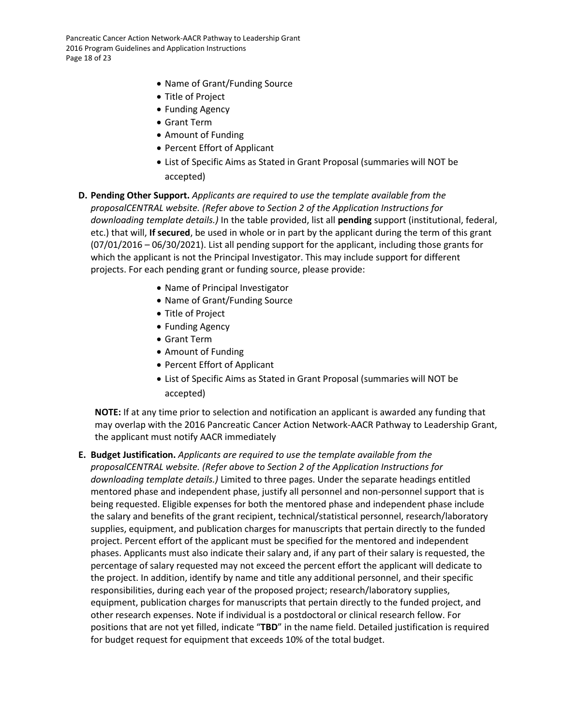Pancreatic Cancer Action Network-AACR Pathway to Leadership Grant 2016 Program Guidelines and Application Instructions Page 18 of 23

- Name of Grant/Funding Source
- Title of Project
- Funding Agency
- Grant Term
- Amount of Funding
- Percent Effort of Applicant
- List of Specific Aims as Stated in Grant Proposal (summaries will NOT be accepted)
- **D. Pending Other Support.** *Applicants are required to use the template available from the proposalCENTRAL website. (Refer above to Section 2 of the Application Instructions for downloading template details.)* In the table provided, list all **pending** support (institutional, federal, etc.) that will, **If secured**, be used in whole or in part by the applicant during the term of this grant (07/01/2016 – 06/30/2021). List all pending support for the applicant, including those grants for which the applicant is not the Principal Investigator. This may include support for different projects. For each pending grant or funding source, please provide:
	- Name of Principal Investigator
	- Name of Grant/Funding Source
	- Title of Project
	- Funding Agency
	- Grant Term
	- Amount of Funding
	- Percent Effort of Applicant
	- List of Specific Aims as Stated in Grant Proposal (summaries will NOT be accepted)

**NOTE:** If at any time prior to selection and notification an applicant is awarded any funding that may overlap with the 2016 Pancreatic Cancer Action Network-AACR Pathway to Leadership Grant, the applicant must notify AACR immediately

#### **E. Budget Justification.** *Applicants are required to use the template available from the*

*proposalCENTRAL website. (Refer above to Section 2 of the Application Instructions for downloading template details.)* Limited to three pages. Under the separate headings entitled mentored phase and independent phase, justify all personnel and non-personnel support that is being requested. Eligible expenses for both the mentored phase and independent phase include the salary and benefits of the grant recipient, technical/statistical personnel, research/laboratory supplies, equipment, and publication charges for manuscripts that pertain directly to the funded project. Percent effort of the applicant must be specified for the mentored and independent phases. Applicants must also indicate their salary and, if any part of their salary is requested, the percentage of salary requested may not exceed the percent effort the applicant will dedicate to the project. In addition, identify by name and title any additional personnel, and their specific responsibilities, during each year of the proposed project; research/laboratory supplies, equipment, publication charges for manuscripts that pertain directly to the funded project, and other research expenses. Note if individual is a postdoctoral or clinical research fellow. For positions that are not yet filled, indicate "**TBD**" in the name field. Detailed justification is required for budget request for equipment that exceeds 10% of the total budget.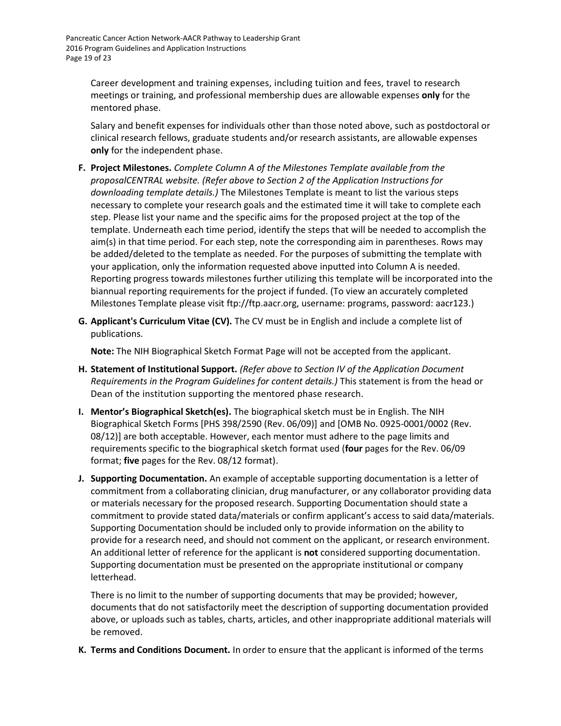Career development and training expenses, including tuition and fees, travel to research meetings or training, and professional membership dues are allowable expenses **only** for the mentored phase.

Salary and benefit expenses for individuals other than those noted above, such as postdoctoral or clinical research fellows, graduate students and/or research assistants, are allowable expenses **only** for the independent phase.

- **F. Project Milestones.** *Complete Column A of the Milestones Template available from the proposalCENTRAL website. (Refer above to Section 2 of the Application Instructions for downloading template details.)* The Milestones Template is meant to list the various steps necessary to complete your research goals and the estimated time it will take to complete each step. Please list your name and the specific aims for the proposed project at the top of the template. Underneath each time period, identify the steps that will be needed to accomplish the aim(s) in that time period. For each step, note the corresponding aim in parentheses. Rows may be added/deleted to the template as needed. For the purposes of submitting the template with your application, only the information requested above inputted into Column A is needed. Reporting progress towards milestones further utilizing this template will be incorporated into the biannual reporting requirements for the project if funded. (To view an accurately completed Milestones Template please visit ftp://ftp.aacr.org, username: programs, password: aacr123.)
- **G. Applicant's Curriculum Vitae (CV).** The CV must be in English and include a complete list of publications.

**Note:** The NIH Biographical Sketch Format Page will not be accepted from the applicant.

- **H. Statement of Institutional Support.** *(Refer above to Section IV of the Application Document Requirements in the Program Guidelines for content details.)* This statement is from the head or Dean of the institution supporting the mentored phase research.
- **I. Mentor's Biographical Sketch(es).** The biographical sketch must be in English. The NIH Biographical Sketch Forms [PHS 398/2590 (Rev. 06/09)] and [OMB No. 0925-0001/0002 (Rev. 08/12)] are both acceptable. However, each mentor must adhere to the page limits and requirements specific to the biographical sketch format used (**four** pages for the Rev. 06/09 format; **five** pages for the Rev. 08/12 format).
- **J. Supporting Documentation.** An example of acceptable supporting documentation is a letter of commitment from a collaborating clinician, drug manufacturer, or any collaborator providing data or materials necessary for the proposed research. Supporting Documentation should state a commitment to provide stated data/materials or confirm applicant's access to said data/materials. Supporting Documentation should be included only to provide information on the ability to provide for a research need, and should not comment on the applicant, or research environment. An additional letter of reference for the applicant is **not** considered supporting documentation. Supporting documentation must be presented on the appropriate institutional or company letterhead.

There is no limit to the number of supporting documents that may be provided; however, documents that do not satisfactorily meet the description of supporting documentation provided above, or uploads such as tables, charts, articles, and other inappropriate additional materials will be removed.

**K. Terms and Conditions Document.** In order to ensure that the applicant is informed of the terms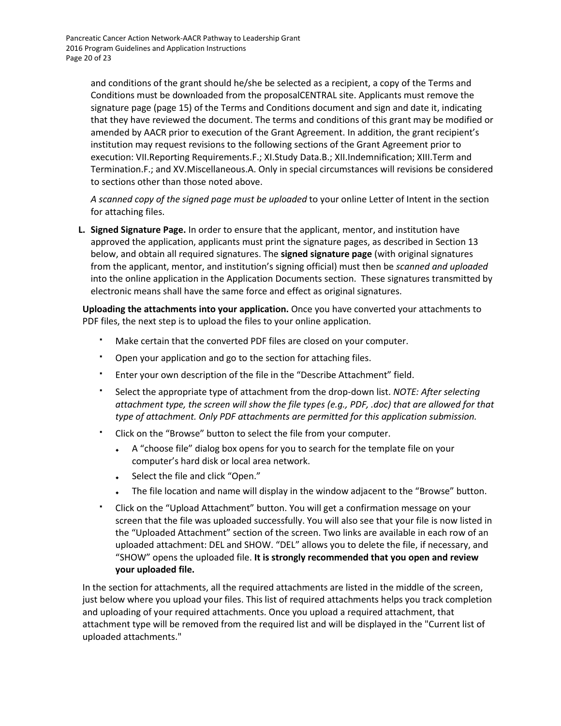and conditions of the grant should he/she be selected as a recipient, a copy of the Terms and Conditions must be downloaded from the proposalCENTRAL site. Applicants must remove the signature page (page 15) of the Terms and Conditions document and sign and date it, indicating that they have reviewed the document. The terms and conditions of this grant may be modified or amended by AACR prior to execution of the Grant Agreement. In addition, the grant recipient's institution may request revisions to the following sections of the Grant Agreement prior to execution: VII.Reporting Requirements.F.; XI.Study Data.B.; XII.Indemnification; XIII.Term and Termination.F.; and XV.Miscellaneous.A. Only in special circumstances will revisions be considered to sections other than those noted above.

*A scanned copy of the signed page must be uploaded* to your online Letter of Intent in the section for attaching files.

**L. Signed Signature Page.** In order to ensure that the applicant, mentor, and institution have approved the application, applicants must print the signature pages, as described in Section 13 below, and obtain all required signatures. The **signed signature page** (with original signatures from the applicant, mentor, and institution's signing official) must then be *scanned and uploaded* into the online application in the Application Documents section. These signatures transmitted by electronic means shall have the same force and effect as original signatures.

**Uploading the attachments into your application.** Once you have converted your attachments to PDF files, the next step is to upload the files to your online application.

- Make certain that the converted PDF files are closed on your computer.
- Open your application and go to the section for attaching files.
- Enter your own description of the file in the "Describe Attachment" field.
- Select the appropriate type of attachment from the drop-down list. *NOTE: After selecting attachment type, the screen will show the file types (e.g., PDF, .doc) that are allowed for that type of attachment. Only PDF attachments are permitted for this application submission.*
- Click on the "Browse" button to select the file from your computer.
	- A "choose file" dialog box opens for you to search for the template file on your computer's hard disk or local area network.
	- Select the file and click "Open."
	- The file location and name will display in the window adjacent to the "Browse" button.
- Click on the "Upload Attachment" button. You will get a confirmation message on your screen that the file was uploaded successfully. You will also see that your file is now listed in the "Uploaded Attachment" section of the screen. Two links are available in each row of an uploaded attachment: DEL and SHOW. "DEL" allows you to delete the file, if necessary, and "SHOW" opens the uploaded file. **It is strongly recommended that you open and review your uploaded file.**

In the section for attachments, all the required attachments are listed in the middle of the screen, just below where you upload your files. This list of required attachments helps you track completion and uploading of your required attachments. Once you upload a required attachment, that attachment type will be removed from the required list and will be displayed in the "Current list of uploaded attachments."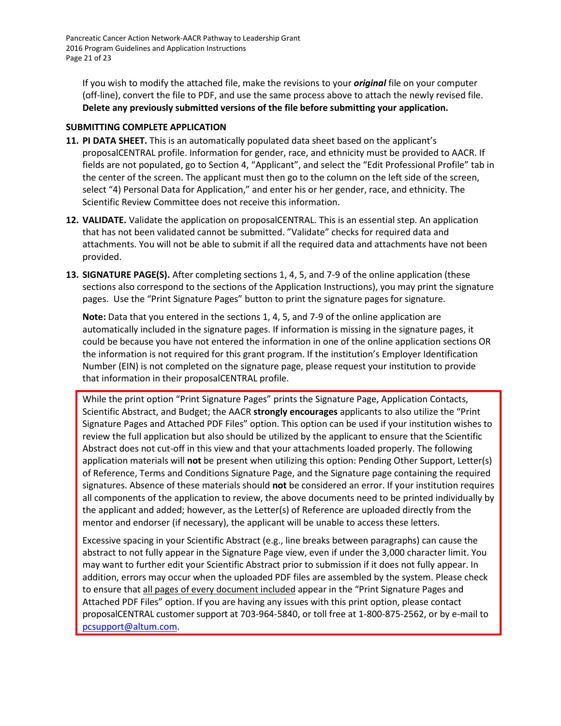Pancreatic Cancer Action Network-AACR Pathway to Leadership Grant 2016 Program Guidelines and Application Instructions Page 21 of 23

If you wish to modify the attached file, make the revisions to your *original* file on your computer (off-line), convert the file to PDF, and use the same process above to attach the newly revised file. **Delete any previously submitted versions of the file before submitting your application.**

#### <span id="page-20-0"></span>**SUBMITTING COMPLETE APPLICATION**

- **11. PI DATA SHEET.** This is an automatically populated data sheet based on the applicant's proposalCENTRAL profile. Information for gender, race, and ethnicity must be provided to AACR. If fields are not populated, go to Section 4, "Applicant", and select the "Edit Professional Profile" tab in the center of the screen. The applicant must then go to the column on the left side of the screen, select "4) Personal Data for Application," and enter his or her gender, race, and ethnicity. The Scientific Review Committee does not receive this information.
- **12. VALIDATE.** Validate the application on proposalCENTRAL. This is an essential step. An application that has not been validated cannot be submitted. "Validate" checks for required data and attachments. You will not be able to submit if all the required data and attachments have not been provided.
- **13. SIGNATURE PAGE(S).** After completing sections 1, 4, 5, and 7-9 of the online application (these sections also correspond to the sections of the Application Instructions), you may print the signature pages. Use the "Print Signature Pages" button to print the signature pages for signature.

**Note:** Data that you entered in the sections 1, 4, 5, and 7-9 of the online application are automatically included in the signature pages. If information is missing in the signature pages, it could be because you have not entered the information in one of the online application sections OR the information is not required for this grant program. If the institution's Employer Identification Number (EIN) is not completed on the signature page, please request your institution to provide that information in their proposalCENTRAL profile.

While the print option "Print Signature Pages" prints the Signature Page, Application Contacts, Scientific Abstract, and Budget; the AACR **strongly encourages** applicants to also utilize the "Print Signature Pages and Attached PDF Files" option. This option can be used if your institution wishes to review the full application but also should be utilized by the applicant to ensure that the Scientific Abstract does not cut-off in this view and that your attachments loaded properly. The following application materials will **not** be present when utilizing this option: Pending Other Support, Letter(s) of Reference, Terms and Conditions Signature Page, and the Signature page containing the required signatures. Absence of these materials should **not** be considered an error. If your institution requires all components of the application to review, the above documents need to be printed individually by the applicant and added; however, as the Letter(s) of Reference are uploaded directly from the mentor and endorser (if necessary), the applicant will be unable to access these letters.

Excessive spacing in your Scientific Abstract (e.g., line breaks between paragraphs) can cause the abstract to not fully appear in the Signature Page view, even if under the 3,000 character limit. You may want to further edit your Scientific Abstract prior to submission if it does not fully appear. In addition, errors may occur when the uploaded PDF files are assembled by the system. Please check to ensure that all pages of every document included appear in the "Print Signature Pages and Attached PDF Files" option. If you are having any issues with this print option, please contact proposalCENTRAL customer support at 703-964-5840, or toll free at 1-800-875-2562, or by e-mail to [pcsupport@altum.com.](mailto:pcsupport@altum.com)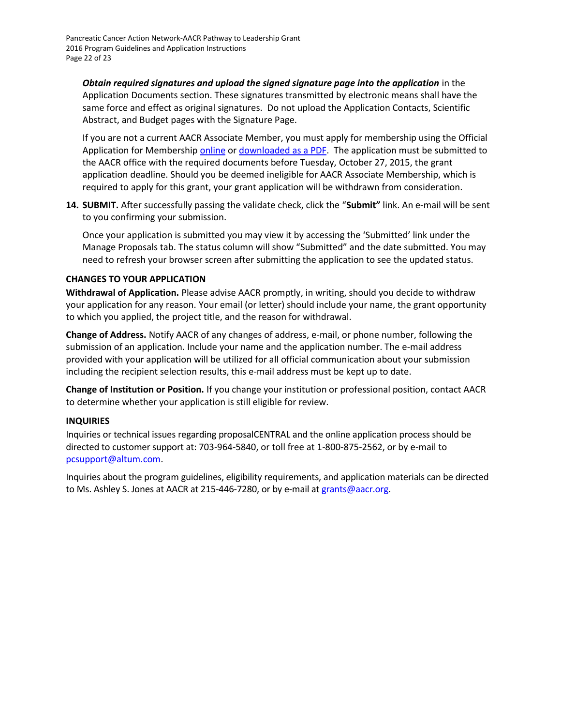**Obtain required signatures and upload the signed signature page into the application** in the Application Documents section. These signatures transmitted by electronic means shall have the same force and effect as original signatures. Do not upload the Application Contacts, Scientific Abstract, and Budget pages with the Signature Page.

If you are not a current AACR Associate Member, you must apply for membership using the Official Application for Membership [online](http://myaacr.aacr.org/Core/AccountManagement/BecomeMember.aspx) or [downloaded as a PDF.](http://www.aacr.org/Membership/Shared%20Documents/1505054_15_Member_app.pdf) The application must be submitted to the AACR office with the required documents before Tuesday, October 27, 2015, the grant application deadline. Should you be deemed ineligible for AACR Associate Membership, which is required to apply for this grant, your grant application will be withdrawn from consideration.

**14. SUBMIT.** After successfully passing the validate check, click the "**Submit"** link. An e-mail will be sent to you confirming your submission.

Once your application is submitted you may view it by accessing the 'Submitted' link under the Manage Proposals tab. The status column will show "Submitted" and the date submitted. You may need to refresh your browser screen after submitting the application to see the updated status.

### <span id="page-21-0"></span>**CHANGES TO YOUR APPLICATION**

**Withdrawal of Application.** Please advise AACR promptly, in writing, should you decide to withdraw your application for any reason. Your email (or letter) should include your name, the grant opportunity to which you applied, the project title, and the reason for withdrawal.

**Change of Address.** Notify AACR of any changes of address, e-mail, or phone number, following the submission of an application. Include your name and the application number. The e-mail address provided with your application will be utilized for all official communication about your submission including the recipient selection results, this e-mail address must be kept up to date.

**Change of Institution or Position.** If you change your institution or professional position, contact AACR to determine whether your application is still eligible for review.

#### <span id="page-21-1"></span>**INQUIRIES**

Inquiries or technical issues regarding proposalCENTRAL and the online application process should be directed to customer support at: 703-964-5840, or toll free at 1-800-875-2562, or by e-mail to [pcsupport@altum.com.](mailto:pcsupport@altum.com)

Inquiries about the program guidelines, eligibility requirements, and application materials can be directed to Ms. Ashley S. Jones at AACR at 215-446-7280, or by e-mail at [grants@aacr.org.](mailto:grants@aacr.org)